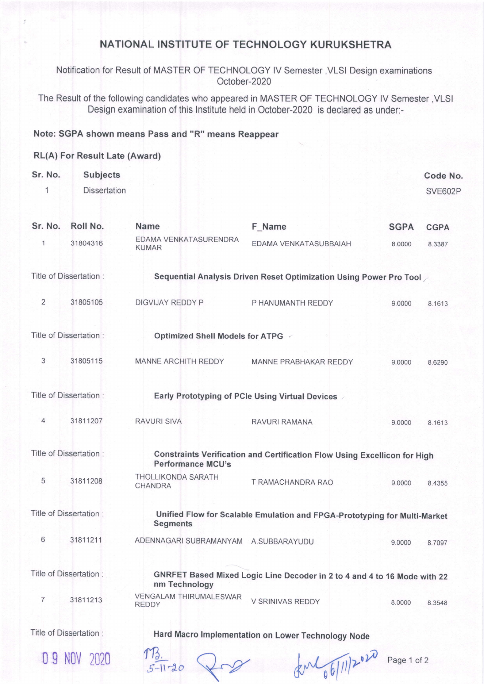## NATIONAL INSTITUTE OF TECHNOLOGY KURUKSHETRA

Notification for Result of MASTER OF TECHNOLOGY IV Semester, VLSI Design examinations October-2020

The Result of the following candidates who appeared in MASTER OF TECHNOLOGY lV Semester ,VLSI Design examination of this lnstitute held in October-2020 is declared as under:-

## Note: SGPA shown means Pass and "R" means Reappear

## RL(A) For Result Late (Award)

| Sr. No.                | <b>Subjects</b>         |                                                                    |                                                                           |             | <b>Code No</b> |  |
|------------------------|-------------------------|--------------------------------------------------------------------|---------------------------------------------------------------------------|-------------|----------------|--|
| 1                      | <b>Dissertation</b>     |                                                                    |                                                                           |             | <b>SVE602P</b> |  |
| Sr. No.                | Roll No.                | <b>Name</b>                                                        | F_Name                                                                    | <b>SGPA</b> | <b>CGPA</b>    |  |
| 1                      | 31804316                | EDAMA VENKATASURENDRA<br><b>KUMAR</b>                              | EDAMA VENKATASUBBAIAH                                                     | 8.0000      | 8.3387         |  |
| Title of Dissertation: |                         | Sequential Analysis Driven Reset Optimization Using Power Pro Tool |                                                                           |             |                |  |
| $\overline{2}$         | 31805105                | DIGVIJAY REDDY P                                                   | P HANUMANTH REDDY                                                         | 9.0000      | 8.1613         |  |
|                        | Title of Dissertation:  | Optimized Shell Models for ATPG <                                  |                                                                           |             |                |  |
| 3                      | 31805115                | <b>MANNE ARCHITH REDDY</b>                                         | MANNE PRABHAKAR REDDY                                                     | 9.0000      | 8.6290         |  |
|                        | Title of Dissertation:  |                                                                    | Early Prototyping of PCIe Using Virtual Devices                           |             |                |  |
| 4                      | 31811207                | <b>RAVURI SIVA</b>                                                 | RAVURI RAMANA                                                             | 9.0000      | 8.1613         |  |
|                        | Title of Dissertation : | <b>Performance MCU's</b>                                           | Constraints Verification and Certification Flow Using Excellicon for High |             |                |  |
| 5                      | 31811208                | THOLLIKONDA SARATH<br>CHANDRA                                      | T RAMACHANDRA RAO                                                         | 9.0000      | 8.4355         |  |
|                        | Title of Dissertation:  | <b>Segments</b>                                                    | Unified Flow for Scalable Emulation and FPGA-Prototyping for Multi-Market |             |                |  |
| 6                      | 31811211                | ADENNAGARI SUBRAMANYAM A.SUBBARAYUDU                               |                                                                           | 9.0000      | 8.7097         |  |
|                        | Title of Dissertation:  | nm Technology                                                      | GNRFET Based Mixed Logic Line Decoder in 2 to 4 and 4 to 16 Mode with 22  |             |                |  |
| 7                      | 31811213                | VENGALAM THIRUMALESWAR<br><b>REDDY</b>                             | V SRINIVAS REDDY                                                          | 8.0000      | 8.3548         |  |
|                        | Title of Dissertation:  |                                                                    | Hard Macro Implementation on Lower Technology Node                        |             |                |  |

<sup>0</sup>g Nov <sup>2020</sup>

**Technology Node**  $T\frac{B}{2}$ 

 $1-20$  and  $20$  exploit  $\frac{1}{2}$  exploit  $\frac{1}{2}$  Page 1 of 2